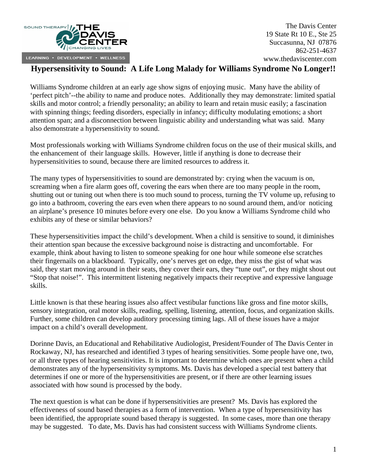

## **Hypersensitivity to Sound: A Life Long Malady for Williams Syndrome No Longer!!**

Williams Syndrome children at an early age show signs of enjoying music. Many have the ability of 'perfect pitch'--the ability to name and produce notes. Additionally they may demonstrate: limited spatial skills and motor control; a friendly personality; an ability to learn and retain music easily; a fascination with spinning things; feeding disorders, especially in infancy; difficulty modulating emotions; a short attention span; and a disconnection between linguistic ability and understanding what was said. Many also demonstrate a hypersensitivity to sound.

Most professionals working with Williams Syndrome children focus on the use of their musical skills, and the enhancement of their language skills. However, little if anything is done to decrease their hypersensitivities to sound, because there are limited resources to address it.

The many types of hypersensitivities to sound are demonstrated by: crying when the vacuum is on, screaming when a fire alarm goes off, covering the ears when there are too many people in the room, shutting out or tuning out when there is too much sound to process, turning the TV volume up, refusing to go into a bathroom, covering the ears even when there appears to no sound around them, and/or noticing an airplane's presence 10 minutes before every one else. Do you know a Williams Syndrome child who exhibits any of these or similar behaviors?

These hypersensitivities impact the child's development. When a child is sensitive to sound, it diminishes their attention span because the excessive background noise is distracting and uncomfortable. For example, think about having to listen to someone speaking for one hour while someone else scratches their fingernails on a blackboard. Typically, one's nerves get on edge, they miss the gist of what was said, they start moving around in their seats, they cover their ears, they "tune out", or they might shout out "Stop that noise!". This intermittent listening negatively impacts their receptive and expressive language skills.

Little known is that these hearing issues also affect vestibular functions like gross and fine motor skills, sensory integration, oral motor skills, reading, spelling, listening, attention, focus, and organization skills. Further, some children can develop auditory processing timing lags. All of these issues have a major impact on a child's overall development.

Dorinne Davis, an Educational and Rehabilitative Audiologist, President/Founder of The Davis Center in Rockaway, NJ, has researched and identified 3 types of hearing sensitivities. Some people have one, two, or all three types of hearing sensitivities. It is important to determine which ones are present when a child demonstrates any of the hypersensitivity symptoms. Ms. Davis has developed a special test battery that determines if one or more of the hypersensitivities are present, or if there are other learning issues associated with how sound is processed by the body.

The next question is what can be done if hypersensitivities are present? Ms. Davis has explored the effectiveness of sound based therapies as a form of intervention. When a type of hypersensitivity has been identified, the appropriate sound based therapy is suggested. In some cases, more than one therapy may be suggested. To date, Ms. Davis has had consistent success with Williams Syndrome clients.